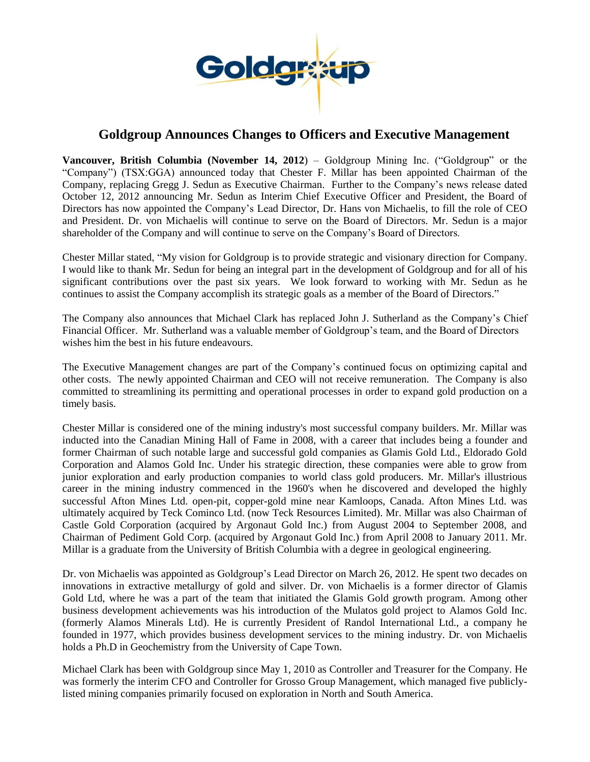

# **Goldgroup Announces Changes to Officers and Executive Management**

**Vancouver, British Columbia (November 14, 2012**) – Goldgroup Mining Inc. ("Goldgroup" or the "Company") (TSX:GGA) announced today that Chester F. Millar has been appointed Chairman of the Company, replacing Gregg J. Sedun as Executive Chairman. Further to the Company's news release dated October 12, 2012 announcing Mr. Sedun as Interim Chief Executive Officer and President, the Board of Directors has now appointed the Company's Lead Director, Dr. Hans von Michaelis, to fill the role of CEO and President. Dr. von Michaelis will continue to serve on the Board of Directors. Mr. Sedun is a major shareholder of the Company and will continue to serve on the Company's Board of Directors.

Chester Millar stated, "My vision for Goldgroup is to provide strategic and visionary direction for Company. I would like to thank Mr. Sedun for being an integral part in the development of Goldgroup and for all of his significant contributions over the past six years. We look forward to working with Mr. Sedun as he continues to assist the Company accomplish its strategic goals as a member of the Board of Directors."

The Company also announces that Michael Clark has replaced John J. Sutherland as the Company's Chief Financial Officer. Mr. Sutherland was a valuable member of Goldgroup's team, and the Board of Directors wishes him the best in his future endeavours.

The Executive Management changes are part of the Company's continued focus on optimizing capital and other costs. The newly appointed Chairman and CEO will not receive remuneration. The Company is also committed to streamlining its permitting and operational processes in order to expand gold production on a timely basis.

Chester Millar is considered one of the mining industry's most successful company builders. Mr. Millar was inducted into the Canadian Mining Hall of Fame in 2008, with a career that includes being a founder and former Chairman of such notable large and successful gold companies as Glamis Gold Ltd., Eldorado Gold Corporation and Alamos Gold Inc. Under his strategic direction, these companies were able to grow from junior exploration and early production companies to world class gold producers. Mr. Millar's illustrious career in the mining industry commenced in the 1960's when he discovered and developed the highly successful Afton Mines Ltd. open-pit, copper-gold mine near Kamloops, Canada. Afton Mines Ltd. was ultimately acquired by Teck Cominco Ltd. (now Teck Resources Limited). Mr. Millar was also Chairman of Castle Gold Corporation (acquired by Argonaut Gold Inc.) from August 2004 to September 2008, and Chairman of Pediment Gold Corp. (acquired by Argonaut Gold Inc.) from April 2008 to January 2011. Mr. Millar is a graduate from the University of British Columbia with a degree in geological engineering.

Dr. von Michaelis was appointed as Goldgroup's Lead Director on March 26, 2012. He spent two decades on innovations in extractive metallurgy of gold and silver. Dr. von Michaelis is a former director of Glamis Gold Ltd, where he was a part of the team that initiated the Glamis Gold growth program. Among other business development achievements was his introduction of the Mulatos gold project to Alamos Gold Inc. (formerly Alamos Minerals Ltd). He is currently President of Randol International Ltd., a company he founded in 1977, which provides business development services to the mining industry. Dr. von Michaelis holds a Ph.D in Geochemistry from the University of Cape Town.

Michael Clark has been with Goldgroup since May 1, 2010 as Controller and Treasurer for the Company. He was formerly the interim CFO and Controller for Grosso Group Management, which managed five publiclylisted mining companies primarily focused on exploration in North and South America.